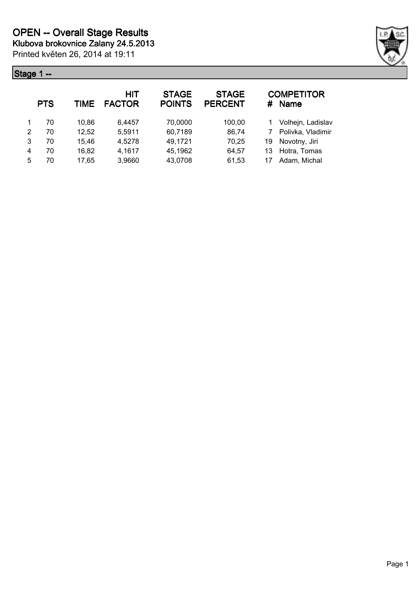### **Stage 1 --** *CONSTRUCTURE*



|   | <b>PTS</b> | <b>TIME</b> | HIT<br><b>FACTOR</b> | <b>STAGE</b><br><b>POINTS</b> | <b>STAGE</b><br><b>PERCENT</b> |    | <b>COMPETITOR</b><br># Name |
|---|------------|-------------|----------------------|-------------------------------|--------------------------------|----|-----------------------------|
|   | 70         | 10.86       | 6.4457               | 70,0000                       | 100,00                         |    | Volhejn, Ladislav           |
| 2 | 70         | 12,52       | 5,5911               | 60,7189                       | 86,74                          |    | Polivka, Vladimir           |
| 3 | 70         | 15,46       | 4,5278               | 49,1721                       | 70,25                          | 19 | Novotny, Jiri               |
| 4 | 70         | 16,82       | 4,1617               | 45,1962                       | 64,57                          | 13 | Hotra, Tomas                |
| 5 | 70         | 17,65       | 3,9660               | 43,0708                       | 61,53                          | 17 | Adam, Michal                |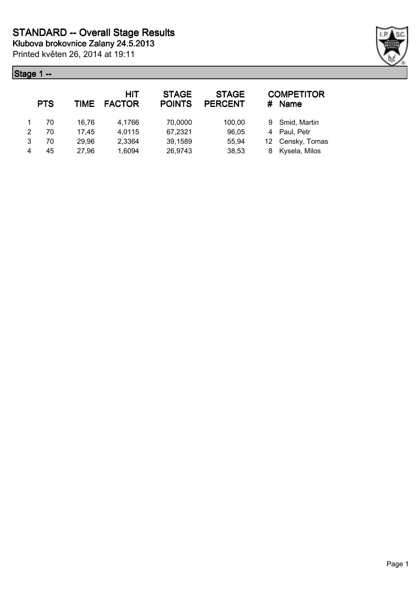# **Stage 1 --**

| ıge 1          | $\overline{\phantom{a}}$ |       |                      |                               |                                |    |                             |  |
|----------------|--------------------------|-------|----------------------|-------------------------------|--------------------------------|----|-----------------------------|--|
|                | <b>PTS</b>               | TIME  | HIT<br><b>FACTOR</b> | <b>STAGE</b><br><b>POINTS</b> | <b>STAGE</b><br><b>PERCENT</b> |    | <b>COMPETITOR</b><br># Name |  |
| $\overline{1}$ | 70                       | 16,76 | 4,1766               | 70,0000                       | 100,00                         |    | 9 Smid, Martin              |  |
| 2              | 70                       | 17,45 | 4,0115               | 67,2321                       | 96,05                          |    | 4 Paul, Petr                |  |
| 3              | 70                       | 29,96 | 2,3364               | 39,1589                       | 55,94                          | 12 | Censky, Tomas               |  |
| $\overline{4}$ | 45                       | 27,96 | 1,6094               | 26,9743                       | 38,53                          | 8  | Kysela, Milos               |  |

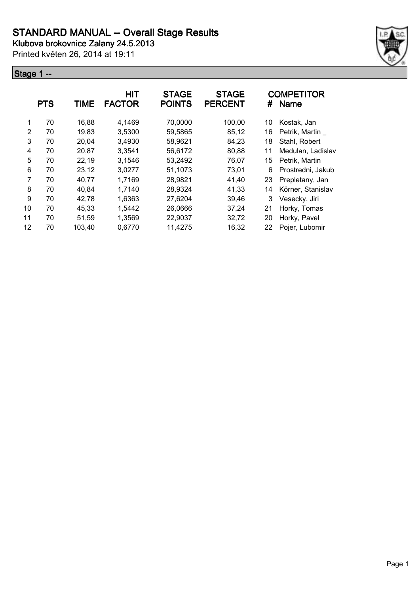Printed květen 26, 2014 at 19:11

### **Stage 1 --**



|               | <b>PTS</b> | <b>TIME</b> | <b>HIT</b><br><b>FACTOR</b> | <b>STAGE</b><br><b>POINTS</b> | <b>STAGE</b><br><b>PERCENT</b> | #  | <b>COMPETITOR</b><br><b>Name</b> |
|---------------|------------|-------------|-----------------------------|-------------------------------|--------------------------------|----|----------------------------------|
| 1             | 70         | 16,88       | 4,1469                      | 70,0000                       | 100,00                         | 10 | Kostak, Jan                      |
| $\mathcal{P}$ | 70         | 19,83       | 3,5300                      | 59,5865                       | 85,12                          | 16 | Petrik, Martin                   |
| 3             | 70         | 20,04       | 3,4930                      | 58,9621                       | 84,23                          | 18 | Stahl, Robert                    |
| 4             | 70         | 20,87       | 3,3541                      | 56,6172                       | 80,88                          | 11 | Medulan, Ladislav                |
| 5             | 70         | 22,19       | 3,1546                      | 53,2492                       | 76,07                          | 15 | Petrik, Martin                   |
| 6             | 70         | 23,12       | 3,0277                      | 51,1073                       | 73,01                          | 6  | Prostredni, Jakub                |
| 7             | 70         | 40,77       | 1,7169                      | 28,9821                       | 41,40                          | 23 | Prepletany, Jan                  |
| 8             | 70         | 40,84       | 1,7140                      | 28,9324                       | 41,33                          | 14 | Körner, Stanislav                |
| 9             | 70         | 42,78       | 1,6363                      | 27,6204                       | 39,46                          | 3  | Vesecky, Jiri                    |
| 10            | 70         | 45.33       | 1,5442                      | 26,0666                       | 37,24                          | 21 | Horky, Tomas                     |
| 11            | 70         | 51,59       | 1,3569                      | 22,9037                       | 32,72                          | 20 | Horky, Pavel                     |
| 12            | 70         | 103,40      | 0,6770                      | 11,4275                       | 16,32                          | 22 | Pojer, Lubomir                   |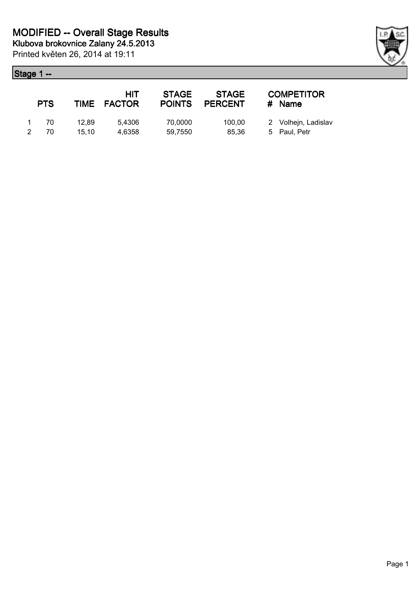### **Stage 1 --**

|   | <b>PTS</b> |       | <b>HIT</b><br>TIME FACTOR | <b>STAGE</b><br><b>POINTS</b> | <b>STAGE</b><br><b>PERCENT</b> | <b>COMPETITOR</b><br># Name |
|---|------------|-------|---------------------------|-------------------------------|--------------------------------|-----------------------------|
|   | -70        | 12.89 | 5.4306                    | 70,0000                       | 100.00                         | 2 Volhejn, Ladislav         |
| 2 | 70         | 15.10 | 4.6358                    | 59.7550                       | 85.36                          | 5 Paul, Petr                |

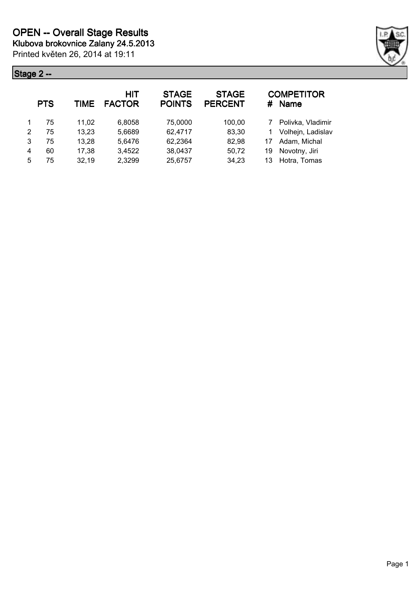

|   | <b>PTS</b> | <b>TIME</b> | HIT<br><b>FACTOR</b> | <b>STAGE</b><br><b>POINTS</b> | <b>STAGE</b><br><b>PERCENT</b> |    | <b>COMPETITOR</b><br># Name |
|---|------------|-------------|----------------------|-------------------------------|--------------------------------|----|-----------------------------|
|   | 75         | 11.02       | 6.8058               | 75,0000                       | 100,00                         | 7  | Polivka, Vladimir           |
| 2 | 75         | 13,23       | 5,6689               | 62,4717                       | 83,30                          |    | Volhejn, Ladislav           |
| 3 | 75         | 13,28       | 5,6476               | 62,2364                       | 82,98                          | 17 | Adam, Michal                |
| 4 | 60         | 17,38       | 3,4522               | 38,0437                       | 50,72                          | 19 | Novotny, Jiri               |
| 5 | 75         | 32,19       | 2,3299               | 25,6757                       | 34,23                          | 13 | Hotra, Tomas                |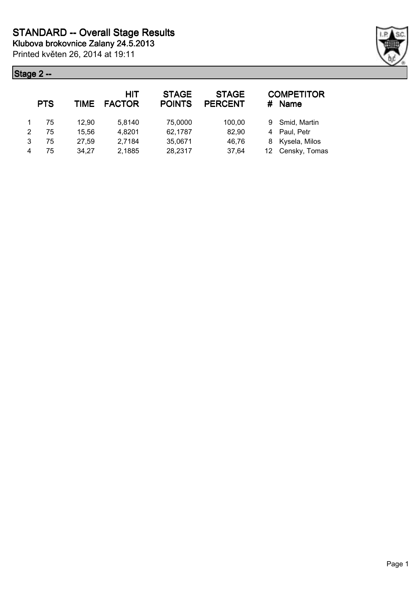

|   | <b>PTS</b> | TIME  | HIT<br><b>FACTOR</b> | <b>STAGE</b><br><b>POINTS</b> | <b>STAGE</b><br><b>PERCENT</b> | # | <b>COMPETITOR</b><br><b>Name</b> |
|---|------------|-------|----------------------|-------------------------------|--------------------------------|---|----------------------------------|
|   | 75         | 12.90 | 5,8140               | 75,0000                       | 100,00                         |   | 9 Smid, Martin                   |
| 2 | 75         | 15,56 | 4,8201               | 62,1787                       | 82,90                          |   | 4 Paul, Petr                     |
| 3 | 75         | 27,59 | 2,7184               | 35,0671                       | 46,76                          |   | 8 Kysela, Milos                  |
| 4 | 75         | 34,27 | 2,1885               | 28,2317                       | 37,64                          |   | 12 Censky, Tomas                 |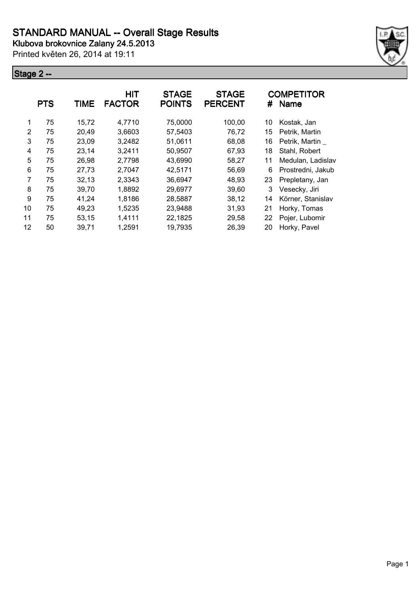Printed květen 26, 2014 at 19:11



|               | <b>PTS</b> | <b>TIME</b> | <b>HIT</b><br><b>FACTOR</b> | <b>STAGE</b><br><b>POINTS</b> | <b>STAGE</b><br><b>PERCENT</b> | #  | <b>COMPETITOR</b><br><b>Name</b> |
|---------------|------------|-------------|-----------------------------|-------------------------------|--------------------------------|----|----------------------------------|
| 1             | 75         | 15,72       | 4,7710                      | 75,0000                       | 100,00                         | 10 | Kostak, Jan                      |
| $\mathcal{P}$ | 75         | 20,49       | 3,6603                      | 57,5403                       | 76,72                          | 15 | Petrik, Martin                   |
| 3             | 75         | 23,09       | 3,2482                      | 51,0611                       | 68,08                          | 16 | Petrik, Martin                   |
| 4             | 75         | 23,14       | 3,2411                      | 50,9507                       | 67,93                          | 18 | Stahl, Robert                    |
| 5             | 75         | 26,98       | 2,7798                      | 43,6990                       | 58,27                          | 11 | Medulan, Ladislav                |
| 6             | 75         | 27,73       | 2,7047                      | 42,5171                       | 56,69                          | 6  | Prostredni, Jakub                |
| 7             | 75         | 32,13       | 2,3343                      | 36,6947                       | 48,93                          | 23 | Prepletany, Jan                  |
| 8             | 75         | 39,70       | 1,8892                      | 29,6977                       | 39,60                          | 3  | Vesecky, Jiri                    |
| 9             | 75         | 41,24       | 1,8186                      | 28,5887                       | 38,12                          | 14 | Körner, Stanislav                |
| 10            | 75         | 49,23       | 1,5235                      | 23,9488                       | 31,93                          | 21 | Horky, Tomas                     |
| 11            | 75         | 53,15       | 1,4111                      | 22,1825                       | 29,58                          | 22 | Pojer, Lubomir                   |
| 12            | 50         | 39,71       | 1,2591                      | 19,7935                       | 26,39                          | 20 | Horky, Pavel                     |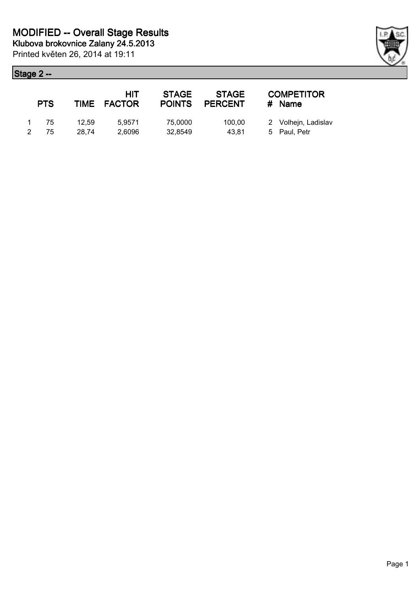|           | <b>PTS</b> |       | HIT<br>TIME FACTOR | <b>STAGE</b><br><b>POINTS</b> | <b>STAGE</b><br><b>PERCENT</b> | <b>COMPETITOR</b><br><b>Name</b><br># |
|-----------|------------|-------|--------------------|-------------------------------|--------------------------------|---------------------------------------|
| $1 \quad$ | - 75       | 12.59 | 5.9571             | 75,0000                       | 100.00                         | 2 Volhejn, Ladislav                   |
|           | -75        | 28.74 | 2,6096             | 32,8549                       | 43.81                          | 5 Paul, Petr                          |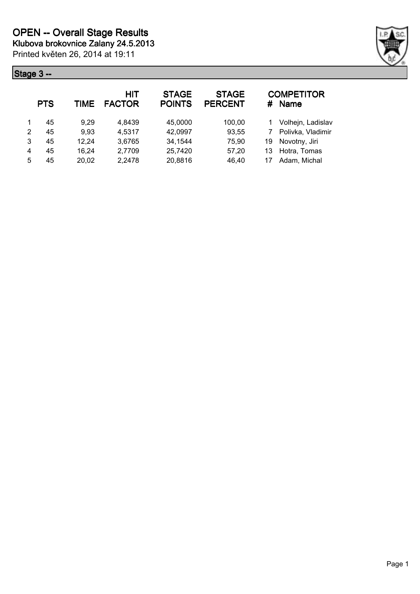

|   | <b>PTS</b> | TIME  | HIT<br><b>FACTOR</b> | <b>STAGE</b><br><b>POINTS</b> | <b>STAGE</b><br><b>PERCENT</b> | #  | <b>COMPETITOR</b><br>Name |
|---|------------|-------|----------------------|-------------------------------|--------------------------------|----|---------------------------|
|   | 45         | 9,29  | 4,8439               | 45,0000                       | 100,00                         |    | Volhejn, Ladislav         |
| 2 | 45         | 9,93  | 4,5317               | 42,0997                       | 93,55                          |    | Polivka, Vladimir         |
| 3 | 45         | 12,24 | 3,6765               | 34,1544                       | 75,90                          | 19 | Novotny, Jiri             |
| 4 | 45         | 16,24 | 2,7709               | 25,7420                       | 57,20                          | 13 | Hotra, Tomas              |
| 5 | 45         | 20,02 | 2,2478               | 20,8816                       | 46,40                          | 17 | Adam, Michal              |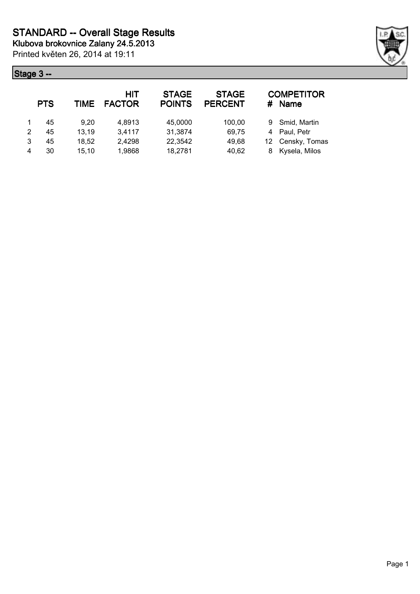

|   | <b>PTS</b> | TIME  | HIT<br><b>FACTOR</b> | <b>STAGE</b><br><b>POINTS</b> | <b>STAGE</b><br><b>PERCENT</b> | # | <b>COMPETITOR</b><br><b>Name</b> |
|---|------------|-------|----------------------|-------------------------------|--------------------------------|---|----------------------------------|
|   | 45         | 9.20  | 4,8913               | 45,0000                       | 100,00                         |   | 9 Smid, Martin                   |
| 2 | 45         | 13,19 | 3,4117               | 31,3874                       | 69,75                          |   | 4 Paul, Petr                     |
| 3 | 45         | 18,52 | 2,4298               | 22,3542                       | 49,68                          |   | 12 Censky, Tomas                 |
| 4 | 30         | 15,10 | 1,9868               | 18,2781                       | 40,62                          |   | 8 Kysela, Milos                  |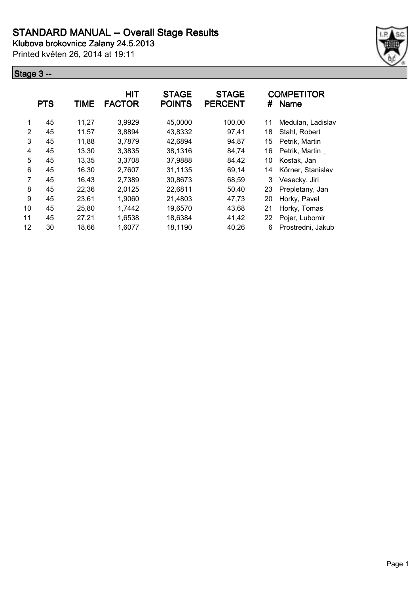Printed květen 26, 2014 at 19:11



|    | <b>PTS</b> | <b>TIME</b> | <b>HIT</b><br><b>FACTOR</b> | <b>STAGE</b><br><b>POINTS</b> | <b>STAGE</b><br><b>PERCENT</b> | #  | <b>COMPETITOR</b><br><b>Name</b> |
|----|------------|-------------|-----------------------------|-------------------------------|--------------------------------|----|----------------------------------|
| 1  | 45         | 11,27       | 3,9929                      | 45,0000                       | 100,00                         | 11 | Medulan, Ladislav                |
| 2  | 45         | 11,57       | 3,8894                      | 43,8332                       | 97,41                          | 18 | Stahl, Robert                    |
| 3  | 45         | 11,88       | 3,7879                      | 42,6894                       | 94,87                          | 15 | Petrik, Martin                   |
| 4  | 45         | 13,30       | 3,3835                      | 38,1316                       | 84,74                          | 16 | Petrik, Martin                   |
| 5  | 45         | 13,35       | 3,3708                      | 37,9888                       | 84,42                          | 10 | Kostak, Jan                      |
| 6  | 45         | 16,30       | 2,7607                      | 31,1135                       | 69,14                          | 14 | Körner, Stanislav                |
| 7  | 45         | 16,43       | 2,7389                      | 30,8673                       | 68,59                          | 3  | Vesecky, Jiri                    |
| 8  | 45         | 22,36       | 2,0125                      | 22,6811                       | 50,40                          | 23 | Prepletany, Jan                  |
| 9  | 45         | 23,61       | 1,9060                      | 21,4803                       | 47,73                          | 20 | Horky, Pavel                     |
| 10 | 45         | 25,80       | 1,7442                      | 19,6570                       | 43,68                          | 21 | Horky, Tomas                     |
| 11 | 45         | 27,21       | 1,6538                      | 18,6384                       | 41,42                          | 22 | Pojer, Lubomir                   |
| 12 | 30         | 18,66       | 1,6077                      | 18,1190                       | 40,26                          | 6  | Prostredni, Jakub                |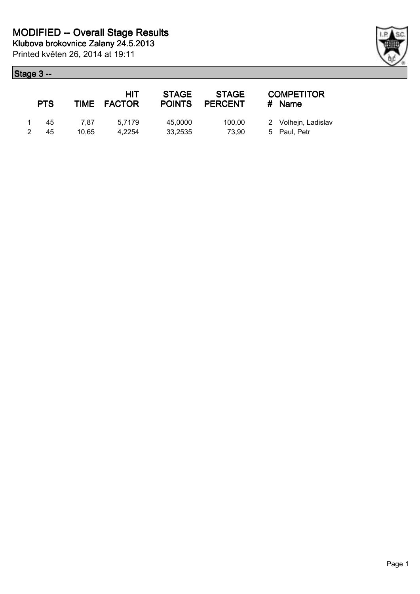| <b>PTS</b> |               | HIT<br>TIME FACTOR | <b>STAGE</b><br><b>POINTS</b> | <b>STAGE</b><br><b>PERCENT</b> | <b>COMPETITOR</b><br>$#$ Name       |
|------------|---------------|--------------------|-------------------------------|--------------------------------|-------------------------------------|
| 45<br>45   | 7.87<br>10.65 | 5.7179<br>4.2254   | 45,0000<br>33,2535            | 100,00<br>73.90                | 2 Volhejn, Ladislav<br>5 Paul, Petr |

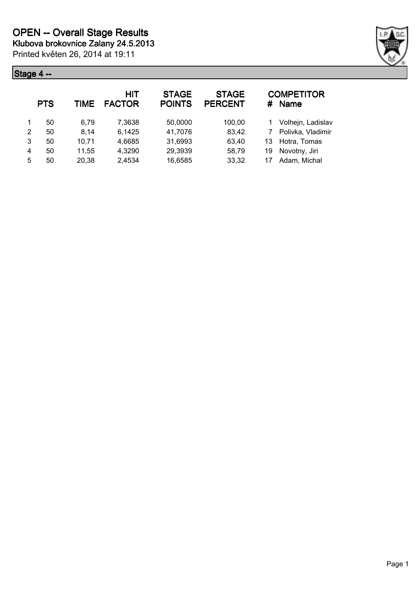

|   | <b>PTS</b> | TIME  | <b>HIT</b><br><b>FACTOR</b> | <b>STAGE</b><br><b>POINTS</b> | <b>STAGE</b><br><b>PERCENT</b> | #  | <b>COMPETITOR</b><br><b>Name</b> |
|---|------------|-------|-----------------------------|-------------------------------|--------------------------------|----|----------------------------------|
|   | 50         | 6.79  | 7,3638                      | 50,0000                       | 100,00                         |    | Volhejn, Ladislav                |
| 2 | 50         | 8.14  | 6,1425                      | 41,7076                       | 83,42                          |    | Polivka, Vladimir                |
| 3 | 50         | 10,71 | 4,6685                      | 31,6993                       | 63,40                          | 13 | Hotra, Tomas                     |
| 4 | 50         | 11,55 | 4,3290                      | 29,3939                       | 58,79                          | 19 | Novotny, Jiri                    |
| 5 | 50         | 20,38 | 2,4534                      | 16,6585                       | 33,32                          | 17 | Adam, Michal                     |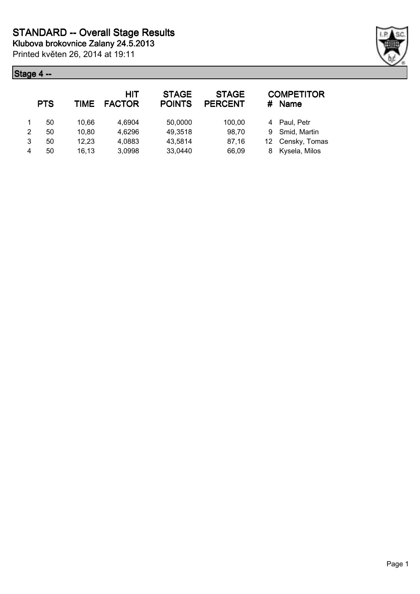

|   | <b>PTS</b> | TIME  | <b>HIT</b><br><b>FACTOR</b> | <b>STAGE</b><br><b>POINTS</b> | <b>STAGE</b><br><b>PERCENT</b> | #  | <b>COMPETITOR</b><br><b>Name</b> |
|---|------------|-------|-----------------------------|-------------------------------|--------------------------------|----|----------------------------------|
|   | 50         | 10.66 | 4,6904                      | 50,0000                       | 100,00                         |    | 4 Paul, Petr                     |
| 2 | 50         | 10,80 | 4,6296                      | 49,3518                       | 98,70                          | 9  | Smid, Martin                     |
| 3 | 50         | 12,23 | 4,0883                      | 43,5814                       | 87,16                          | 12 | Censky, Tomas                    |
|   | 50         | 16,13 | 3,0998                      | 33,0440                       | 66,09                          | 8  | Kysela, Milos                    |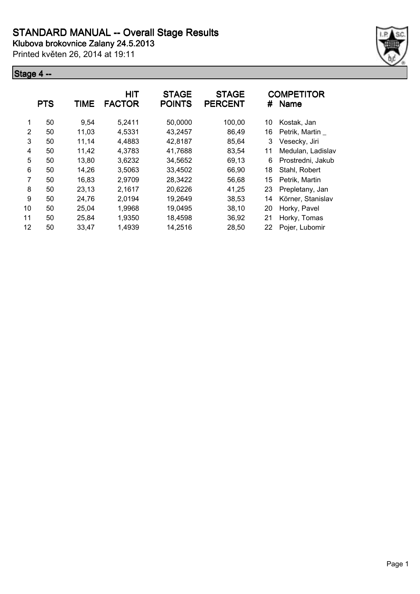Printed květen 26, 2014 at 19:11



|    | <b>PTS</b> | <b>TIME</b> | <b>HIT</b><br><b>FACTOR</b> | <b>STAGE</b><br><b>POINTS</b> | <b>STAGE</b><br><b>PERCENT</b> | #  | <b>COMPETITOR</b><br><b>Name</b> |
|----|------------|-------------|-----------------------------|-------------------------------|--------------------------------|----|----------------------------------|
| 1  | 50         | 9,54        | 5,2411                      | 50,0000                       | 100,00                         | 10 | Kostak, Jan                      |
| 2  | 50         | 11,03       | 4,5331                      | 43,2457                       | 86,49                          | 16 | Petrik, Martin                   |
| 3  | 50         | 11,14       | 4,4883                      | 42,8187                       | 85,64                          | 3  | Vesecky, Jiri                    |
| 4  | 50         | 11,42       | 4,3783                      | 41,7688                       | 83,54                          | 11 | Medulan, Ladislav                |
| 5  | 50         | 13,80       | 3,6232                      | 34,5652                       | 69,13                          | 6  | Prostredni, Jakub                |
| 6  | 50         | 14,26       | 3,5063                      | 33,4502                       | 66,90                          | 18 | Stahl, Robert                    |
| 7  | 50         | 16,83       | 2,9709                      | 28,3422                       | 56,68                          | 15 | Petrik, Martin                   |
| 8  | 50         | 23,13       | 2,1617                      | 20,6226                       | 41,25                          | 23 | Prepletany, Jan                  |
| 9  | 50         | 24,76       | 2,0194                      | 19,2649                       | 38,53                          | 14 | Körner, Stanislav                |
| 10 | 50         | 25,04       | 1,9968                      | 19,0495                       | 38,10                          | 20 | Horky, Pavel                     |
| 11 | 50         | 25,84       | 1,9350                      | 18,4598                       | 36,92                          | 21 | Horky, Tomas                     |
| 12 | 50         | 33,47       | 1,4939                      | 14,2516                       | 28,50                          | 22 | Pojer, Lubomir                   |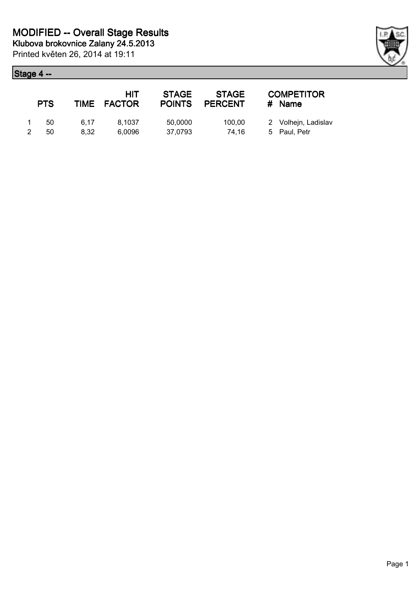|              | <b>PTS</b> |      | HIT<br>TIME FACTOR | <b>STAGE</b><br><b>POINTS</b> | <b>STAGE</b><br><b>PERCENT</b> | <b>COMPETITOR</b><br># Name |
|--------------|------------|------|--------------------|-------------------------------|--------------------------------|-----------------------------|
| $\mathbf{1}$ | - 50       | 6.17 | 8.1037             | 50,0000                       | 100.00                         | 2 Volhejn, Ladislav         |
| 2            | 50         | 8.32 | 6.0096             | 37,0793                       | 74.16                          | 5 Paul, Petr                |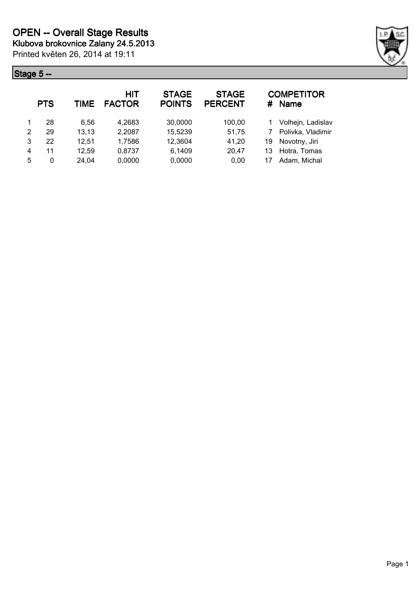

|   | <b>PTS</b> | <b>TIME</b> | HIT<br><b>FACTOR</b> | <b>STAGE</b><br><b>POINTS</b> | <b>STAGE</b><br><b>PERCENT</b> |    | <b>COMPETITOR</b><br># Name |
|---|------------|-------------|----------------------|-------------------------------|--------------------------------|----|-----------------------------|
|   | 28         | 6.56        | 4,2683               | 30,0000                       | 100,00                         |    | Volhejn, Ladislav           |
| 2 | 29         | 13,13       | 2,2087               | 15,5239                       | 51,75                          |    | Polivka, Vladimir           |
| 3 | 22         | 12,51       | 1,7586               | 12,3604                       | 41,20                          | 19 | Novotny, Jiri               |
| 4 | 11         | 12,59       | 0.8737               | 6,1409                        | 20,47                          | 13 | Hotra, Tomas                |
| 5 | 0          | 24,04       | 0,0000               | 0,0000                        | 0,00                           | 17 | Adam, Michal                |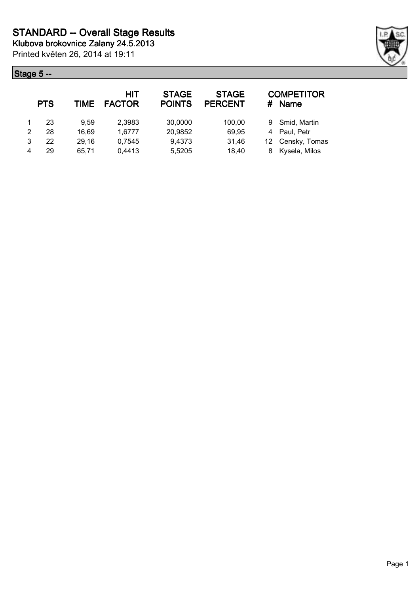

|   | <b>PTS</b> | TIME  | <b>HIT</b><br><b>FACTOR</b> | <b>STAGE</b><br><b>POINTS</b> | <b>STAGE</b><br><b>PERCENT</b> | #  | <b>COMPETITOR</b><br><b>Name</b> |
|---|------------|-------|-----------------------------|-------------------------------|--------------------------------|----|----------------------------------|
|   | 23         | 9.59  | 2,3983                      | 30,0000                       | 100,00                         |    | 9 Smid, Martin                   |
| 2 | 28         | 16,69 | 1,6777                      | 20,9852                       | 69,95                          | 4  | Paul, Petr                       |
| 3 | 22         | 29,16 | 0,7545                      | 9,4373                        | 31,46                          | 12 | Censky, Tomas                    |
|   | 29         | 65.71 | 0,4413                      | 5,5205                        | 18,40                          | 8  | Kysela, Milos                    |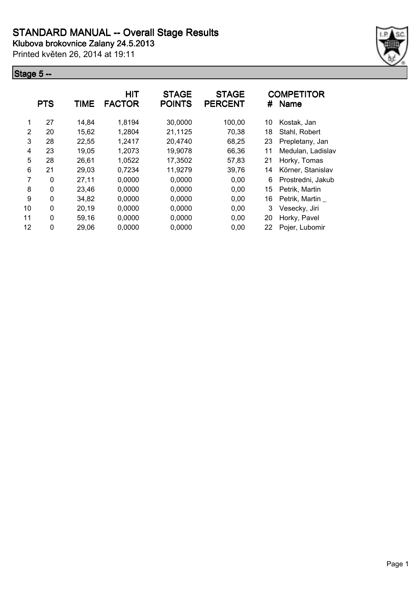Printed květen 26, 2014 at 19:11



|    | <b>PTS</b>   | TIME  | <b>HIT</b><br><b>FACTOR</b> | <b>STAGE</b><br><b>POINTS</b> | <b>STAGE</b><br><b>PERCENT</b> | #  | <b>COMPETITOR</b><br><b>Name</b> |
|----|--------------|-------|-----------------------------|-------------------------------|--------------------------------|----|----------------------------------|
| 1  | 27           | 14,84 | 1,8194                      | 30,0000                       | 100,00                         | 10 | Kostak, Jan                      |
| 2  | 20           | 15,62 | 1,2804                      | 21,1125                       | 70,38                          | 18 | Stahl, Robert                    |
| 3  | 28           | 22,55 | 1,2417                      | 20,4740                       | 68,25                          | 23 | Prepletany, Jan                  |
| 4  | 23           | 19,05 | 1,2073                      | 19,9078                       | 66,36                          | 11 | Medulan, Ladislav                |
| 5  | 28           | 26,61 | 1,0522                      | 17,3502                       | 57,83                          | 21 | Horky, Tomas                     |
| 6  | 21           | 29,03 | 0,7234                      | 11,9279                       | 39,76                          | 14 | Körner, Stanislav                |
| 7  | $\Omega$     | 27,11 | 0,0000                      | 0,0000                        | 0,00                           | 6  | Prostredni, Jakub                |
| 8  | 0            | 23,46 | 0,0000                      | 0,0000                        | 0,00                           | 15 | Petrik, Martin                   |
| 9  | 0            | 34,82 | 0,0000                      | 0,0000                        | 0,00                           | 16 | Petrik, Martin                   |
| 10 | $\mathbf{0}$ | 20,19 | 0,0000                      | 0,0000                        | 0,00                           | 3  | Vesecky, Jiri                    |
| 11 | 0            | 59,16 | 0,0000                      | 0,0000                        | 0,00                           | 20 | Horky, Pavel                     |
| 12 | $\mathbf{0}$ | 29,06 | 0,0000                      | 0,0000                        | 0,00                           | 22 | Pojer, Lubomir                   |